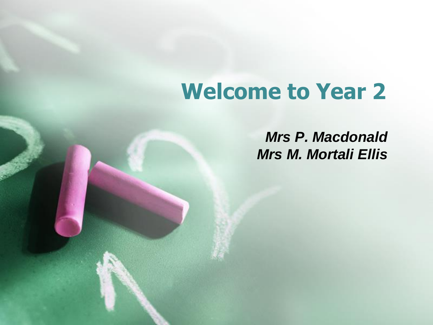## **Welcome to Year 2**

*Mrs P. Macdonald Mrs M. Mortali Ellis*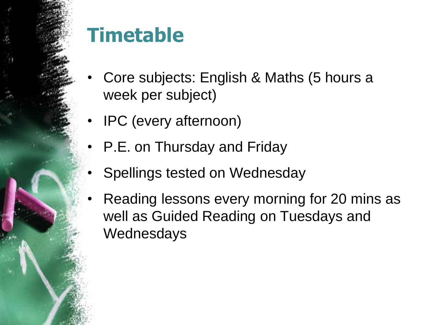#### **Timetable**

- Core subjects: English & Maths (5 hours a week per subject)
- IPC (every afternoon)
- P.E. on Thursday and Friday
- Spellings tested on Wednesday
- Reading lessons every morning for 20 mins as well as Guided Reading on Tuesdays and **Wednesdays**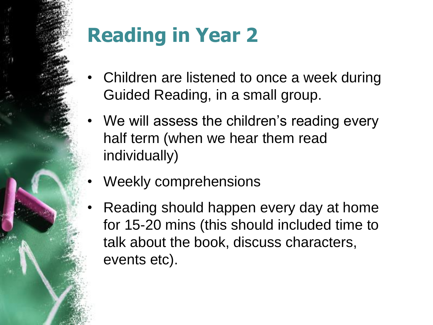# **Reading in Year 2**

- Children are listened to once a week during Guided Reading, in a small group.
- We will assess the children's reading every half term (when we hear them read individually)
- Weekly comprehensions
- Reading should happen every day at home for 15-20 mins (this should included time to talk about the book, discuss characters, events etc).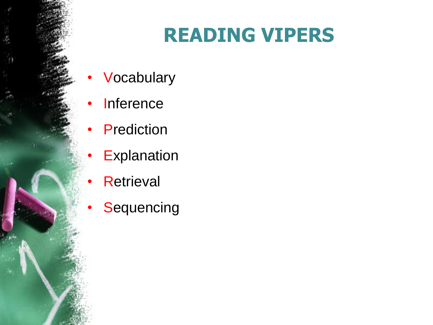#### **READING VIPERS**

- **Vocabulary**
- **Inference**
- **Prediction** 
	- **Explanation**
	- **Retrieval**
- **Sequencing**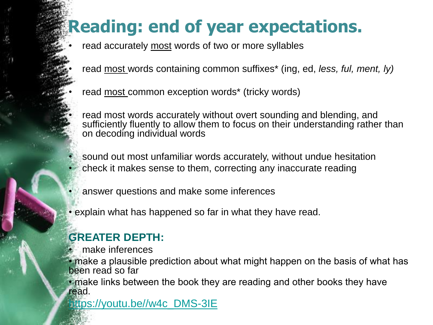#### **Reading: end of year expectations.**

- read accurately most words of two or more syllables
- read most words containing common suffixes\* (ing, ed, *less, ful, ment, ly)*
- read most common exception words\* (tricky words)
- read most words accurately without overt sounding and blending, and sufficiently fluently to allow them to focus on their understanding rather than on decoding individual words
- sound out most unfamiliar words accurately, without undue hesitation • check it makes sense to them, correcting any inaccurate reading
- answer questions and make some inferences
- explain what has happened so far in what they have read.

#### **GREATER DEPTH:**

• make inferences

• make a plausible prediction about what might happen on the basis of what has been read so far

• make links between the book they are reading and other books they have read.

[https://youtu.be//w4c\\_DMS-3IE](https://youtu.be/be/w4c_DMS-3IE)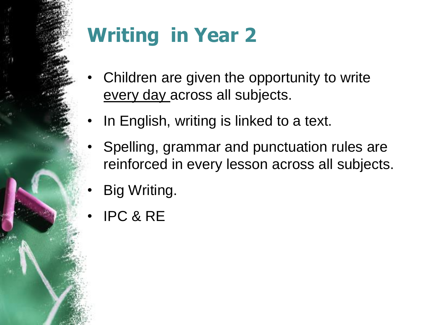## **Writing in Year 2**

- Children are given the opportunity to write every day across all subjects.
- In English, writing is linked to a text.
- Spelling, grammar and punctuation rules are reinforced in every lesson across all subjects.
- Big Writing.
- IPC & RE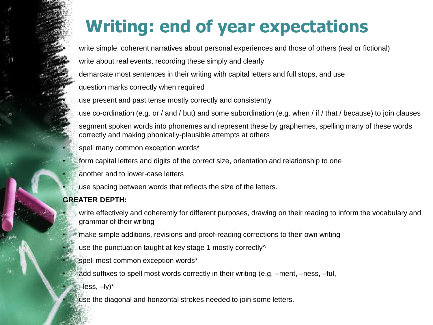#### **Writing: end of year expectations**

write simple, coherent narratives about personal experiences and those of others (real or fictional)

write about real events, recording these simply and clearly

demarcate most sentences in their writing with capital letters and full stops, and use

question marks correctly when required

use present and past tense mostly correctly and consistently

use co-ordination (e.g. or / and / but) and some subordination (e.g. when / if / that / because) to join clauses

• segment spoken words into phonemes and represent these by graphemes, spelling many of these words correctly and making phonically-plausible attempts at others

- spell many common exception words\*
- form capital letters and digits of the correct size, orientation and relationship to one
- another and to lower-case letters
- use spacing between words that reflects the size of the letters.

#### **GREATER DEPTH:**

- write effectively and coherently for different purposes, drawing on their reading to inform the vocabulary and grammar of their writing
- make simple additions, revisions and proof-reading corrections to their own writing
- use the punctuation taught at key stage 1 mostly correctly^
- spell most common exception words\*
- add suffixes to spell most words correctly in their writing (e.g. –ment, –ness, –ful,
	- $-$ less,  $-$ ly) $*$
- use the diagonal and horizontal strokes needed to join some letters.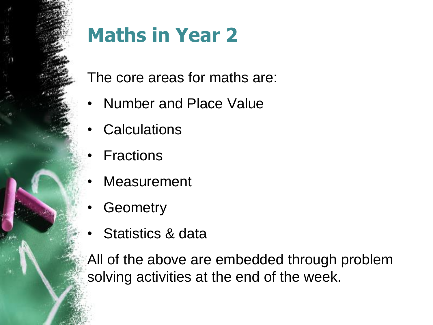### **Maths in Year 2**

The core areas for maths are:

- Number and Place Value
- **Calculations**
- **Fractions**
- **Measurement**
- **Geometry**
- Statistics & data

All of the above are embedded through problem solving activities at the end of the week.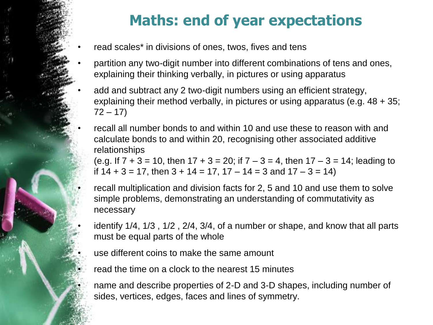#### **Maths: end of year expectations**

- read scales<sup>\*</sup> in divisions of ones, twos, fives and tens
- partition any two-digit number into different combinations of tens and ones, explaining their thinking verbally, in pictures or using apparatus
- add and subtract any 2 two-digit numbers using an efficient strategy, explaining their method verbally, in pictures or using apparatus (e.g. 48 + 35;  $72 - 17$

• recall all number bonds to and within 10 and use these to reason with and calculate bonds to and within 20, recognising other associated additive relationships

(e.g. If  $7 + 3 = 10$ , then  $17 + 3 = 20$ ; if  $7 - 3 = 4$ , then  $17 - 3 = 14$ ; leading to if  $14 + 3 = 17$ , then  $3 + 14 = 17$ ,  $17 - 14 = 3$  and  $17 - 3 = 14$ )

• recall multiplication and division facts for 2, 5 and 10 and use them to solve simple problems, demonstrating an understanding of commutativity as necessary

• identify 1/4, 1/3 , 1/2 , 2/4, 3/4, of a number or shape, and know that all parts must be equal parts of the whole

use different coins to make the same amount

read the time on a clock to the nearest 15 minutes

• name and describe properties of 2-D and 3-D shapes, including number of sides, vertices, edges, faces and lines of symmetry.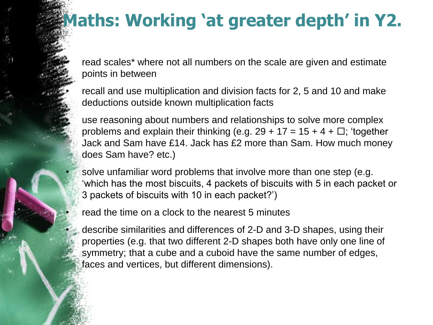#### **Maths: Working 'at greater depth' in Y2.**

read scales<sup>\*</sup> where not all numbers on the scale are given and estimate points in between

• recall and use multiplication and division facts for 2, 5 and 10 and make deductions outside known multiplication facts

• use reasoning about numbers and relationships to solve more complex problems and explain their thinking (e.g.  $29 + 17 = 15 + 4 + \Box$ ; 'together Jack and Sam have £14. Jack has £2 more than Sam. How much money does Sam have? etc.)

• solve unfamiliar word problems that involve more than one step (e.g. 'which has the most biscuits, 4 packets of biscuits with 5 in each packet or 3 packets of biscuits with 10 in each packet?')

read the time on a clock to the nearest 5 minutes

• describe similarities and differences of 2-D and 3-D shapes, using their properties (e.g. that two different 2-D shapes both have only one line of symmetry; that a cube and a cuboid have the same number of edges, faces and vertices, but different dimensions).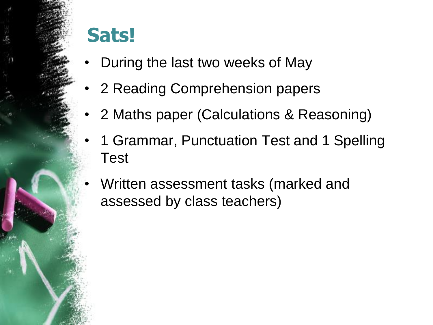#### **Sats!**

- During the last two weeks of May
- 2 Reading Comprehension papers
- 2 Maths paper (Calculations & Reasoning)
- 1 Grammar, Punctuation Test and 1 Spelling Test
- Written assessment tasks (marked and assessed by class teachers)